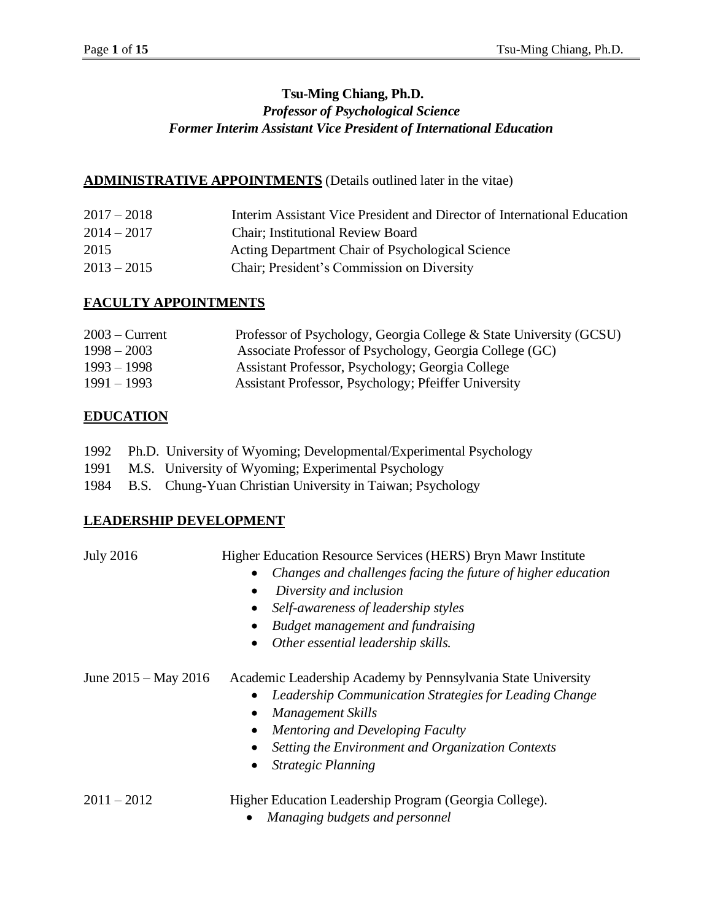# **Tsu-Ming Chiang, Ph.D.** *Professor of Psychological Science Former Interim Assistant Vice President of International Education*

#### **ADMINISTRATIVE APPOINTMENTS** (Details outlined later in the vitae)

| $2017 - 2018$ | Interim Assistant Vice President and Director of International Education |
|---------------|--------------------------------------------------------------------------|
| $2014 - 2017$ | <b>Chair</b> ; Institutional Review Board                                |
| 2015          | Acting Department Chair of Psychological Science                         |
| $2013 - 2015$ | Chair; President's Commission on Diversity                               |

#### **FACULTY APPOINTMENTS**

| $2003$ – Current | Professor of Psychology, Georgia College & State University (GCSU) |
|------------------|--------------------------------------------------------------------|
| $1998 - 2003$    | Associate Professor of Psychology, Georgia College (GC)            |
| $1993 - 1998$    | Assistant Professor, Psychology; Georgia College                   |
| $1991 - 1993$    | Assistant Professor, Psychology; Pfeiffer University               |

#### **EDUCATION**

|  |                                                                                                        |  |  |  |  | 1992 Ph.D. University of Wyoming; Developmental/Experimental Psychology |  |
|--|--------------------------------------------------------------------------------------------------------|--|--|--|--|-------------------------------------------------------------------------|--|
|  | $\overline{1001}$ $\overline{100}$ $\overline{110}$ $\overline{111}$ $\overline{111}$ $\overline{111}$ |  |  |  |  |                                                                         |  |

- 1991 M.S. University of Wyoming; Experimental Psychology
- 1984 B.S. Chung-Yuan Christian University in Taiwan; Psychology

#### **LEADERSHIP DEVELOPMENT**

July 2016 Higher Education Resource Services (HERS) Bryn Mawr Institute

- *Changes and challenges facing the future of higher education*
- *Diversity and inclusion*
- *Self-awareness of leadership styles*
- *Budget management and fundraising*
- *Other essential leadership skills.*

June 2015 – May 2016 Academic Leadership Academy by Pennsylvania State University

- *Leadership Communication Strategies for Leading Change*
- *Management Skills*
- *Mentoring and Developing Faculty*
- *Setting the Environment and Organization Contexts*
- *Strategic Planning*

2011 – 2012 Higher Education Leadership Program (Georgia College).

• *Managing budgets and personnel*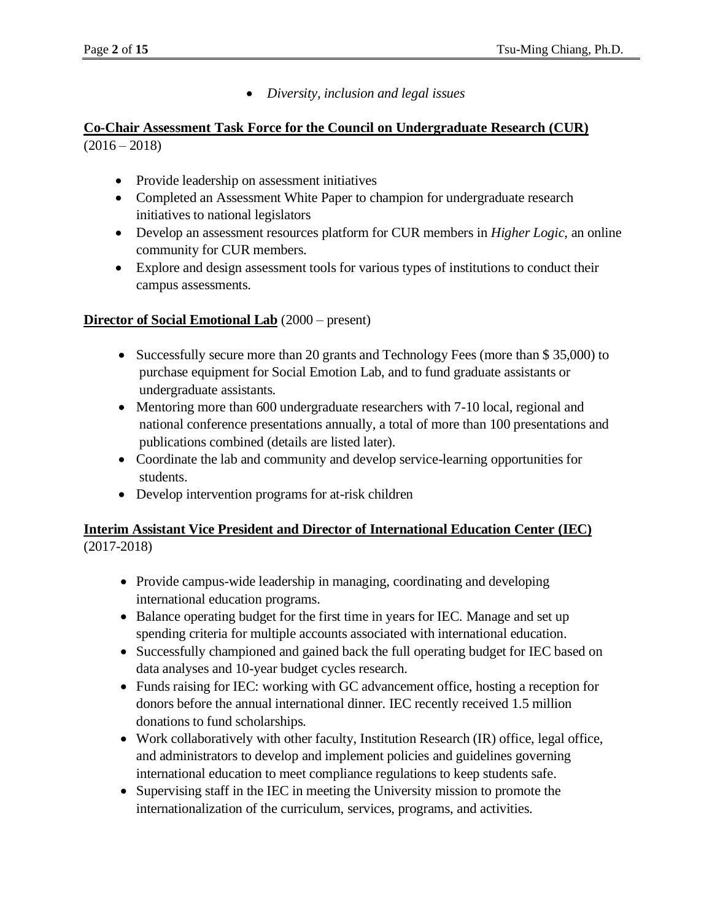• *Diversity, inclusion and legal issues*

## **Co-Chair Assessment Task Force for the Council on Undergraduate Research (CUR)**   $(2016 - 2018)$

- Provide leadership on assessment initiatives
- Completed an Assessment White Paper to champion for undergraduate research initiatives to national legislators
- Develop an assessment resources platform for CUR members in *Higher Logic*, an online community for CUR members.
- Explore and design assessment tools for various types of institutions to conduct their campus assessments.

#### **Director of Social Emotional Lab** (2000 – present)

- Successfully secure more than 20 grants and Technology Fees (more than \$35,000) to purchase equipment for Social Emotion Lab, and to fund graduate assistants or undergraduate assistants.
- Mentoring more than 600 undergraduate researchers with 7-10 local, regional and national conference presentations annually, a total of more than 100 presentations and publications combined (details are listed later).
- Coordinate the lab and community and develop service-learning opportunities for students.
- Develop intervention programs for at-risk children

## **Interim Assistant Vice President and Director of International Education Center (IEC)** (2017-2018)

- Provide campus-wide leadership in managing, coordinating and developing international education programs.
- Balance operating budget for the first time in years for IEC. Manage and set up spending criteria for multiple accounts associated with international education.
- Successfully championed and gained back the full operating budget for IEC based on data analyses and 10-year budget cycles research.
- Funds raising for IEC: working with GC advancement office, hosting a reception for donors before the annual international dinner. IEC recently received 1.5 million donations to fund scholarships.
- Work collaboratively with other faculty, Institution Research (IR) office, legal office, and administrators to develop and implement policies and guidelines governing international education to meet compliance regulations to keep students safe.
- Supervising staff in the IEC in meeting the University mission to promote the internationalization of the curriculum, services, programs, and activities.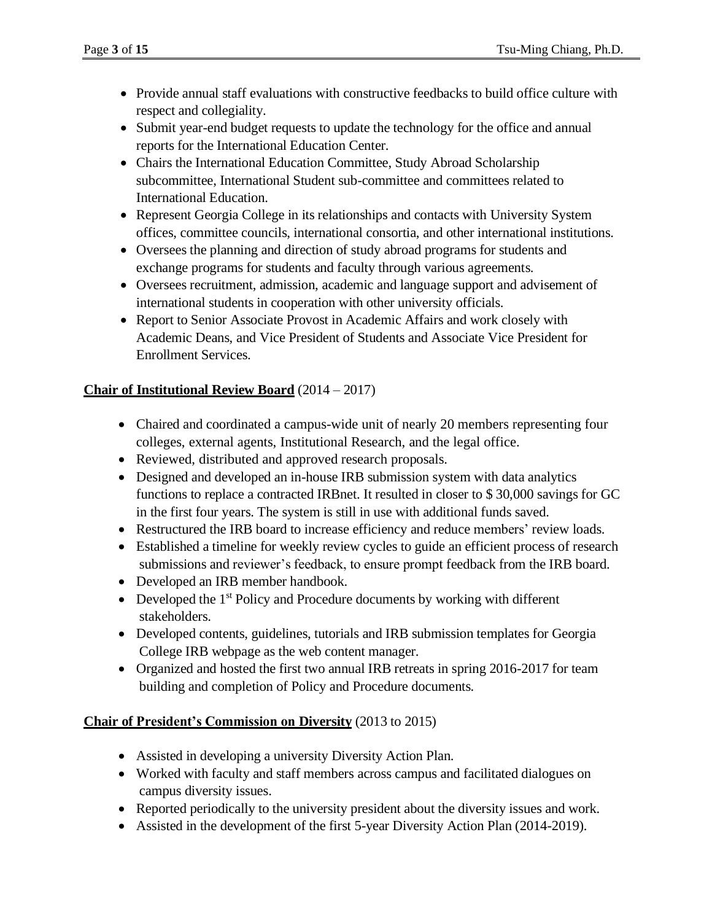- Provide annual staff evaluations with constructive feedbacks to build office culture with respect and collegiality.
- Submit year-end budget requests to update the technology for the office and annual reports for the International Education Center.
- Chairs the International Education Committee, Study Abroad Scholarship subcommittee, International Student sub-committee and committees related to International Education.
- Represent Georgia College in its relationships and contacts with University System offices, committee councils, international consortia, and other international institutions.
- Oversees the planning and direction of study abroad programs for students and exchange programs for students and faculty through various agreements.
- Oversees recruitment, admission, academic and language support and advisement of international students in cooperation with other university officials.
- Report to Senior Associate Provost in Academic Affairs and work closely with Academic Deans, and Vice President of Students and Associate Vice President for Enrollment Services.

## **Chair of Institutional Review Board** (2014 – 2017)

- Chaired and coordinated a campus-wide unit of nearly 20 members representing four colleges, external agents, Institutional Research, and the legal office.
- Reviewed, distributed and approved research proposals.
- Designed and developed an in-house IRB submission system with data analytics functions to replace a contracted IRBnet. It resulted in closer to \$ 30,000 savings for GC in the first four years. The system is still in use with additional funds saved.
- Restructured the IRB board to increase efficiency and reduce members' review loads.
- Established a timeline for weekly review cycles to guide an efficient process of research submissions and reviewer's feedback, to ensure prompt feedback from the IRB board.
- Developed an IRB member handbook.
- Developed the  $1<sup>st</sup>$  Policy and Procedure documents by working with different stakeholders.
- Developed contents, guidelines, tutorials and IRB submission templates for Georgia College IRB webpage as the web content manager.
- Organized and hosted the first two annual IRB retreats in spring 2016-2017 for team building and completion of Policy and Procedure documents.

## **Chair of President's Commission on Diversity** (2013 to 2015)

- Assisted in developing a university Diversity Action Plan.
- Worked with faculty and staff members across campus and facilitated dialogues on campus diversity issues.
- Reported periodically to the university president about the diversity issues and work.
- Assisted in the development of the first 5-year Diversity Action Plan (2014-2019).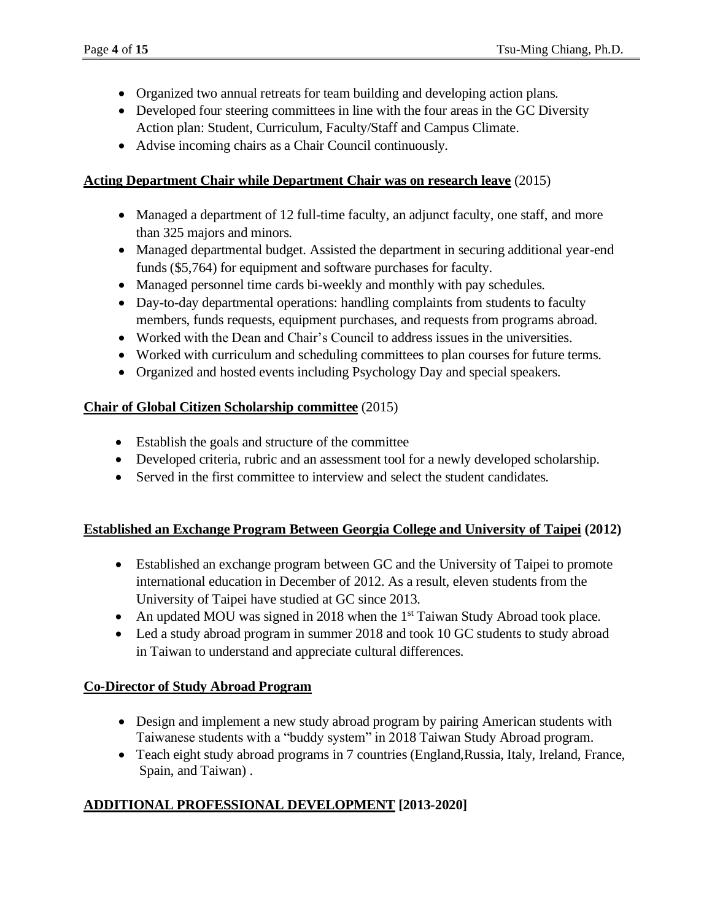- Organized two annual retreats for team building and developing action plans.
- Developed four steering committees in line with the four areas in the GC Diversity Action plan: Student, Curriculum, Faculty/Staff and Campus Climate.
- Advise incoming chairs as a Chair Council continuously.

#### **Acting Department Chair while Department Chair was on research leave** (2015)

- Managed a department of 12 full-time faculty, an adjunct faculty, one staff, and more than 325 majors and minors.
- Managed departmental budget. Assisted the department in securing additional year-end funds (\$5,764) for equipment and software purchases for faculty.
- Managed personnel time cards bi-weekly and monthly with pay schedules.
- Day-to-day departmental operations: handling complaints from students to faculty members, funds requests, equipment purchases, and requests from programs abroad.
- Worked with the Dean and Chair's Council to address issues in the universities.
- Worked with curriculum and scheduling committees to plan courses for future terms.
- Organized and hosted events including Psychology Day and special speakers.

## **Chair of Global Citizen Scholarship committee** (2015)

- Establish the goals and structure of the committee
- Developed criteria, rubric and an assessment tool for a newly developed scholarship.
- Served in the first committee to interview and select the student candidates.

## **Established an Exchange Program Between Georgia College and University of Taipei (2012)**

- Established an exchange program between GC and the University of Taipei to promote international education in December of 2012. As a result, eleven students from the University of Taipei have studied at GC since 2013.
- An updated MOU was signed in 2018 when the  $1<sup>st</sup>$  Taiwan Study Abroad took place.
- Led a study abroad program in summer 2018 and took 10 GC students to study abroad in Taiwan to understand and appreciate cultural differences.

## **Co-Director of Study Abroad Program**

- Design and implement a new study abroad program by pairing American students with Taiwanese students with a "buddy system" in 2018 Taiwan Study Abroad program.
- Teach eight study abroad programs in 7 countries (England, Russia, Italy, Ireland, France, Spain, and Taiwan) .

## **ADDITIONAL PROFESSIONAL DEVELOPMENT [2013-2020]**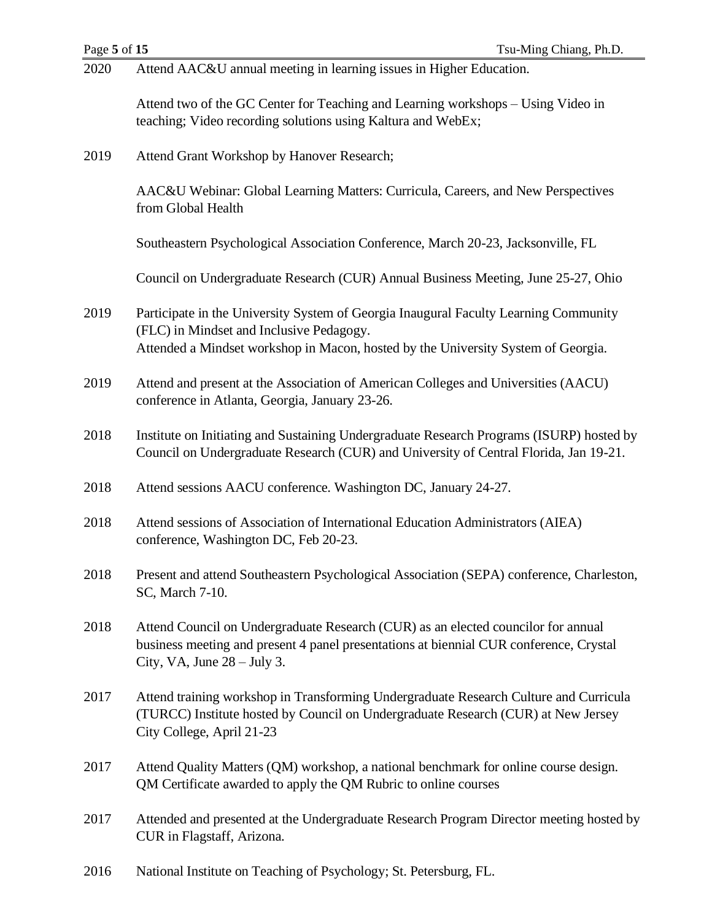| 2020 | Attend AAC&U annual meeting in learning issues in Higher Education.                                                                                                                                          |
|------|--------------------------------------------------------------------------------------------------------------------------------------------------------------------------------------------------------------|
|      | Attend two of the GC Center for Teaching and Learning workshops – Using Video in<br>teaching; Video recording solutions using Kaltura and WebEx;                                                             |
| 2019 | Attend Grant Workshop by Hanover Research;                                                                                                                                                                   |
|      | AAC&U Webinar: Global Learning Matters: Curricula, Careers, and New Perspectives<br>from Global Health                                                                                                       |
|      | Southeastern Psychological Association Conference, March 20-23, Jacksonville, FL                                                                                                                             |
|      | Council on Undergraduate Research (CUR) Annual Business Meeting, June 25-27, Ohio                                                                                                                            |
| 2019 | Participate in the University System of Georgia Inaugural Faculty Learning Community<br>(FLC) in Mindset and Inclusive Pedagogy.                                                                             |
|      | Attended a Mindset workshop in Macon, hosted by the University System of Georgia.                                                                                                                            |
| 2019 | Attend and present at the Association of American Colleges and Universities (AACU)<br>conference in Atlanta, Georgia, January 23-26.                                                                         |
| 2018 | Institute on Initiating and Sustaining Undergraduate Research Programs (ISURP) hosted by<br>Council on Undergraduate Research (CUR) and University of Central Florida, Jan 19-21.                            |
| 2018 | Attend sessions AACU conference. Washington DC, January 24-27.                                                                                                                                               |
| 2018 | Attend sessions of Association of International Education Administrators (AIEA)<br>conference, Washington DC, Feb 20-23.                                                                                     |
| 2018 | Present and attend Southeastern Psychological Association (SEPA) conference, Charleston,<br>SC, March 7-10.                                                                                                  |
| 2018 | Attend Council on Undergraduate Research (CUR) as an elected councilor for annual<br>business meeting and present 4 panel presentations at biennial CUR conference, Crystal<br>City, VA, June $28 -$ July 3. |
| 2017 | Attend training workshop in Transforming Undergraduate Research Culture and Curricula<br>(TURCC) Institute hosted by Council on Undergraduate Research (CUR) at New Jersey<br>City College, April 21-23      |
| 2017 | Attend Quality Matters (QM) workshop, a national benchmark for online course design.<br>QM Certificate awarded to apply the QM Rubric to online courses                                                      |
| 2017 | Attended and presented at the Undergraduate Research Program Director meeting hosted by<br>CUR in Flagstaff, Arizona.                                                                                        |
|      |                                                                                                                                                                                                              |

2016 National Institute on Teaching of Psychology; St. Petersburg, FL.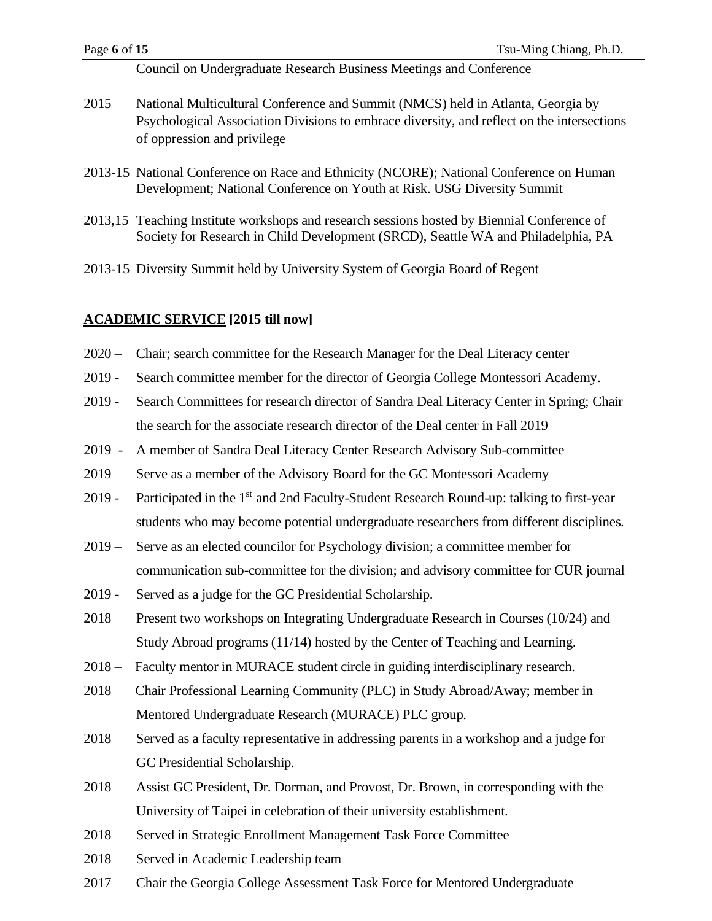Council on Undergraduate Research Business Meetings and Conference

- 2015 National Multicultural Conference and Summit (NMCS) held in Atlanta, Georgia by Psychological Association Divisions to embrace diversity, and reflect on the intersections of oppression and privilege
- 2013-15 National Conference on Race and Ethnicity (NCORE); National Conference on Human Development; National Conference on Youth at Risk. USG Diversity Summit
- 2013,15 Teaching Institute workshops and research sessions hosted by Biennial Conference of Society for Research in Child Development (SRCD), Seattle WA and Philadelphia, PA
- 2013-15 Diversity Summit held by University System of Georgia Board of Regent

#### **ACADEMIC SERVICE [2015 till now]**

- 2020 Chair; search committee for the Research Manager for the Deal Literacy center
- 2019 Search committee member for the director of Georgia College Montessori Academy.
- 2019 Search Committees for research director of Sandra Deal Literacy Center in Spring; Chair the search for the associate research director of the Deal center in Fall 2019
- 2019 A member of Sandra Deal Literacy Center Research Advisory Sub-committee
- 2019 Serve as a member of the Advisory Board for the GC Montessori Academy
- 2019 Participated in the 1<sup>st</sup> and 2nd Faculty-Student Research Round-up: talking to first-year students who may become potential undergraduate researchers from different disciplines.
- 2019 Serve as an elected councilor for Psychology division; a committee member for communication sub-committee for the division; and advisory committee for CUR journal
- 2019 Served as a judge for the GC Presidential Scholarship.
- 2018 Present two workshops on Integrating Undergraduate Research in Courses (10/24) and Study Abroad programs (11/14) hosted by the Center of Teaching and Learning.
- 2018 Faculty mentor in MURACE student circle in guiding interdisciplinary research.
- 2018 Chair Professional Learning Community (PLC) in Study Abroad/Away; member in Mentored Undergraduate Research (MURACE) PLC group.
- 2018 Served as a faculty representative in addressing parents in a workshop and a judge for GC Presidential Scholarship.
- 2018 Assist GC President, Dr. Dorman, and Provost, Dr. Brown, in corresponding with the University of Taipei in celebration of their university establishment.
- 2018 Served in Strategic Enrollment Management Task Force Committee
- 2018 Served in Academic Leadership team
- 2017 Chair the Georgia College Assessment Task Force for Mentored Undergraduate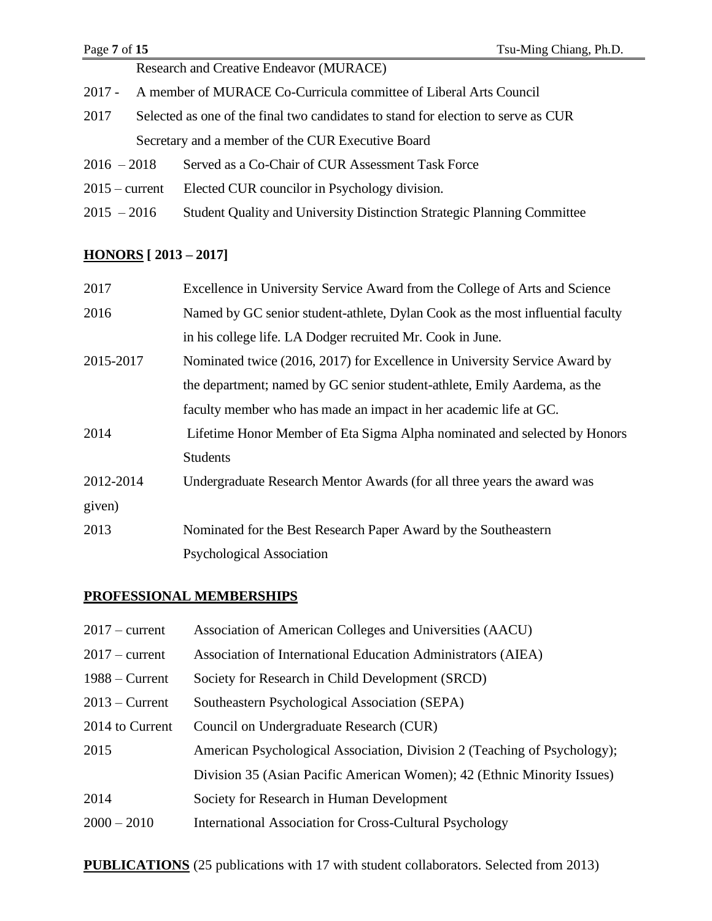| Page 7 of 15<br>Tsu-Ming Chiang, Ph.D. |                                                                                   |  |  |
|----------------------------------------|-----------------------------------------------------------------------------------|--|--|
|                                        | Research and Creative Endeavor (MURACE)                                           |  |  |
| 2017 -                                 | A member of MURACE Co-Curricula committee of Liberal Arts Council                 |  |  |
| 2017                                   | Selected as one of the final two candidates to stand for election to serve as CUR |  |  |
|                                        | Secretary and a member of the CUR Executive Board                                 |  |  |
| $2016 - 2018$                          | Served as a Co-Chair of CUR Assessment Task Force                                 |  |  |
| $2015 - current$                       | Elected CUR councilor in Psychology division.                                     |  |  |
| $2015 - 2016$                          | Student Quality and University Distinction Strategic Planning Committee           |  |  |

# **HONORS [ 2013 – 2017]**

| 2017      | Excellence in University Service Award from the College of Arts and Science    |
|-----------|--------------------------------------------------------------------------------|
| 2016      | Named by GC senior student-athlete, Dylan Cook as the most influential faculty |
|           | in his college life. LA Dodger recruited Mr. Cook in June.                     |
| 2015-2017 | Nominated twice (2016, 2017) for Excellence in University Service Award by     |
|           | the department; named by GC senior student-athlete, Emily Aardema, as the      |
|           | faculty member who has made an impact in her academic life at GC.              |
| 2014      | Lifetime Honor Member of Eta Sigma Alpha nominated and selected by Honors      |
|           | <b>Students</b>                                                                |
| 2012-2014 | Undergraduate Research Mentor Awards (for all three years the award was        |
| given)    |                                                                                |
| 2013      | Nominated for the Best Research Paper Award by the Southeastern                |
|           | <b>Psychological Association</b>                                               |

# **PROFESSIONAL MEMBERSHIPS**

| $2017$ – current | Association of American Colleges and Universities (AACU)                 |
|------------------|--------------------------------------------------------------------------|
| $2017$ – current | Association of International Education Administrators (AIEA)             |
| $1988 -$ Current | Society for Research in Child Development (SRCD)                         |
| $2013$ – Current | Southeastern Psychological Association (SEPA)                            |
| 2014 to Current  | Council on Undergraduate Research (CUR)                                  |
| 2015             | American Psychological Association, Division 2 (Teaching of Psychology); |
|                  | Division 35 (Asian Pacific American Women); 42 (Ethnic Minority Issues)  |
| 2014             | Society for Research in Human Development                                |
| $2000 - 2010$    | International Association for Cross-Cultural Psychology                  |
|                  |                                                                          |

**PUBLICATIONS** (25 publications with 17 with student collaborators. Selected from 2013)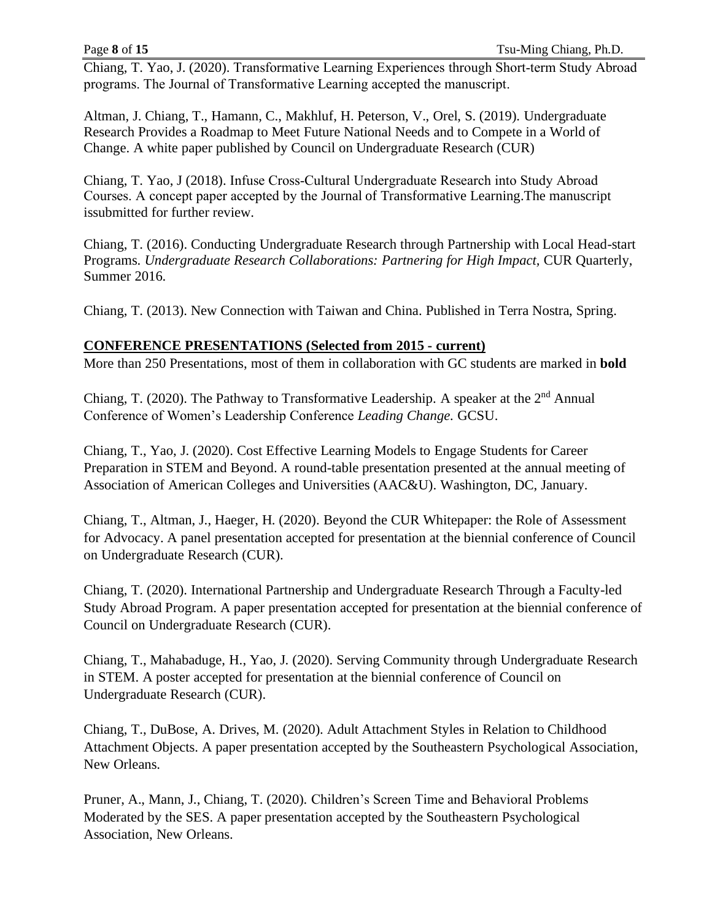Chiang, T. Yao, J. (2020). Transformative Learning Experiences through Short-term Study Abroad programs. The Journal of Transformative Learning accepted the manuscript.

Altman, J. Chiang, T., Hamann, C., Makhluf, H. Peterson, V., Orel, S. (2019). Undergraduate Research Provides a Roadmap to Meet Future National Needs and to Compete in a World of Change. A white paper published by Council on Undergraduate Research (CUR)

Chiang, T. Yao, J (2018). Infuse Cross-Cultural Undergraduate Research into Study Abroad Courses. A concept paper accepted by the Journal of Transformative Learning.The manuscript issubmitted for further review.

Chiang, T. (2016). Conducting Undergraduate Research through Partnership with Local Head-start Programs. *Undergraduate Research Collaborations: Partnering for High Impact,* CUR Quarterly, Summer 2016.

Chiang, T. (2013). New Connection with Taiwan and China. Published in Terra Nostra, Spring.

## **CONFERENCE PRESENTATIONS (Selected from 2015 - current)**

More than 250 Presentations, most of them in collaboration with GC students are marked in **bold**

Chiang, T. (2020). The Pathway to Transformative Leadership. A speaker at the  $2<sup>nd</sup>$  Annual Conference of Women's Leadership Conference *Leading Change.* GCSU.

Chiang, T., Yao, J. (2020). Cost Effective Learning Models to Engage Students for Career Preparation in STEM and Beyond. A round-table presentation presented at the annual meeting of Association of American Colleges and Universities (AAC&U). Washington, DC, January.

Chiang, T., Altman, J., Haeger, H. (2020). Beyond the CUR Whitepaper: the Role of Assessment for Advocacy. A panel presentation accepted for presentation at the biennial conference of Council on Undergraduate Research (CUR).

Chiang, T. (2020). International Partnership and Undergraduate Research Through a Faculty-led Study Abroad Program. A paper presentation accepted for presentation at the biennial conference of Council on Undergraduate Research (CUR).

Chiang, T., Mahabaduge, H., Yao, J. (2020). Serving Community through Undergraduate Research in STEM. A poster accepted for presentation at the biennial conference of Council on Undergraduate Research (CUR).

Chiang, T., DuBose, A. Drives, M. (2020). Adult Attachment Styles in Relation to Childhood Attachment Objects. A paper presentation accepted by the Southeastern Psychological Association, New Orleans.

Pruner, A., Mann, J., Chiang, T. (2020). Children's Screen Time and Behavioral Problems Moderated by the SES. A paper presentation accepted by the Southeastern Psychological Association, New Orleans.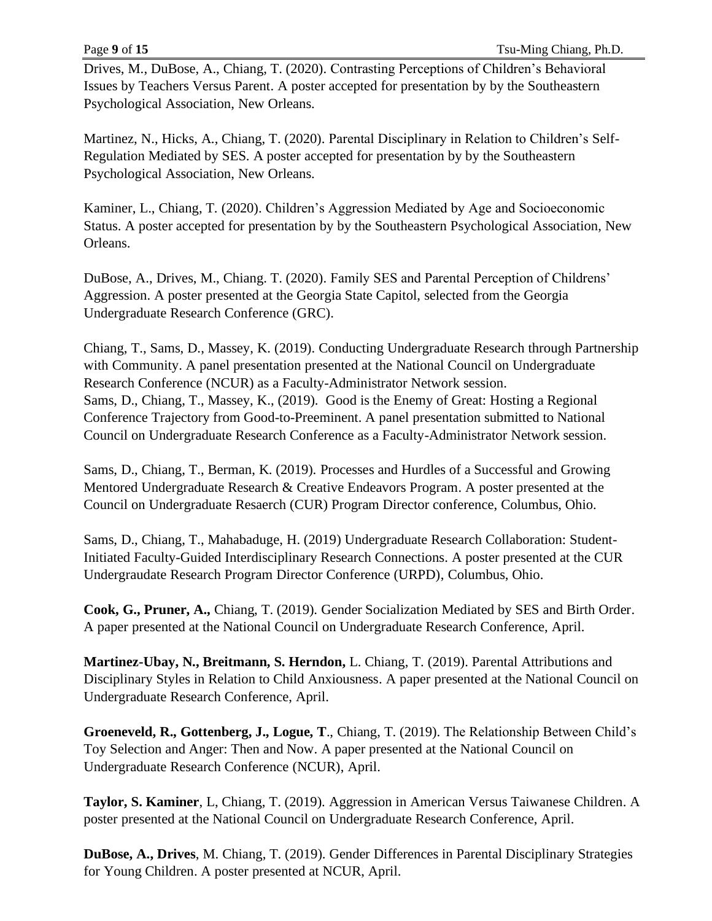Drives, M., DuBose, A., Chiang, T. (2020). Contrasting Perceptions of Children's Behavioral Issues by Teachers Versus Parent. A poster accepted for presentation by by the Southeastern Psychological Association, New Orleans.

Martinez, N., Hicks, A., Chiang, T. (2020). Parental Disciplinary in Relation to Children's Self-Regulation Mediated by SES. A poster accepted for presentation by by the Southeastern Psychological Association, New Orleans.

Kaminer, L., Chiang, T. (2020). Children's Aggression Mediated by Age and Socioeconomic Status. A poster accepted for presentation by by the Southeastern Psychological Association, New Orleans.

DuBose, A., Drives, M., Chiang. T. (2020). Family SES and Parental Perception of Childrens' Aggression. A poster presented at the Georgia State Capitol, selected from the Georgia Undergraduate Research Conference (GRC).

Chiang, T., Sams, D., Massey, K. (2019). Conducting Undergraduate Research through Partnership with Community. A panel presentation presented at the National Council on Undergraduate Research Conference (NCUR) as a Faculty-Administrator Network session. Sams, D., Chiang, T., Massey, K., (2019). Good is the Enemy of Great: Hosting a Regional Conference Trajectory from Good-to-Preeminent. A panel presentation submitted to National Council on Undergraduate Research Conference as a Faculty-Administrator Network session.

Sams, D., Chiang, T., Berman, K. (2019). Processes and Hurdles of a Successful and Growing Mentored Undergraduate Research & Creative Endeavors Program. A poster presented at the Council on Undergraduate Resaerch (CUR) Program Director conference, Columbus, Ohio.

Sams, D., Chiang, T., Mahabaduge, H. (2019) Undergraduate Research Collaboration: Student-Initiated Faculty-Guided Interdisciplinary Research Connections. A poster presented at the CUR Undergraudate Research Program Director Conference (URPD), Columbus, Ohio.

**Cook, G., Pruner, A.,** Chiang, T. (2019). Gender Socialization Mediated by SES and Birth Order. A paper presented at the National Council on Undergraduate Research Conference, April.

**Martinez-Ubay, N., Breitmann, S. Herndon,** L. Chiang, T. (2019). Parental Attributions and Disciplinary Styles in Relation to Child Anxiousness. A paper presented at the National Council on Undergraduate Research Conference, April.

**Groeneveld, R., Gottenberg, J., Logue, T**., Chiang, T. (2019). The Relationship Between Child's Toy Selection and Anger: Then and Now. A paper presented at the National Council on Undergraduate Research Conference (NCUR), April.

**Taylor, S. Kaminer**, L, Chiang, T. (2019). Aggression in American Versus Taiwanese Children. A poster presented at the National Council on Undergraduate Research Conference, April.

**DuBose, A., Drives**, M. Chiang, T. (2019). Gender Differences in Parental Disciplinary Strategies for Young Children. A poster presented at NCUR, April.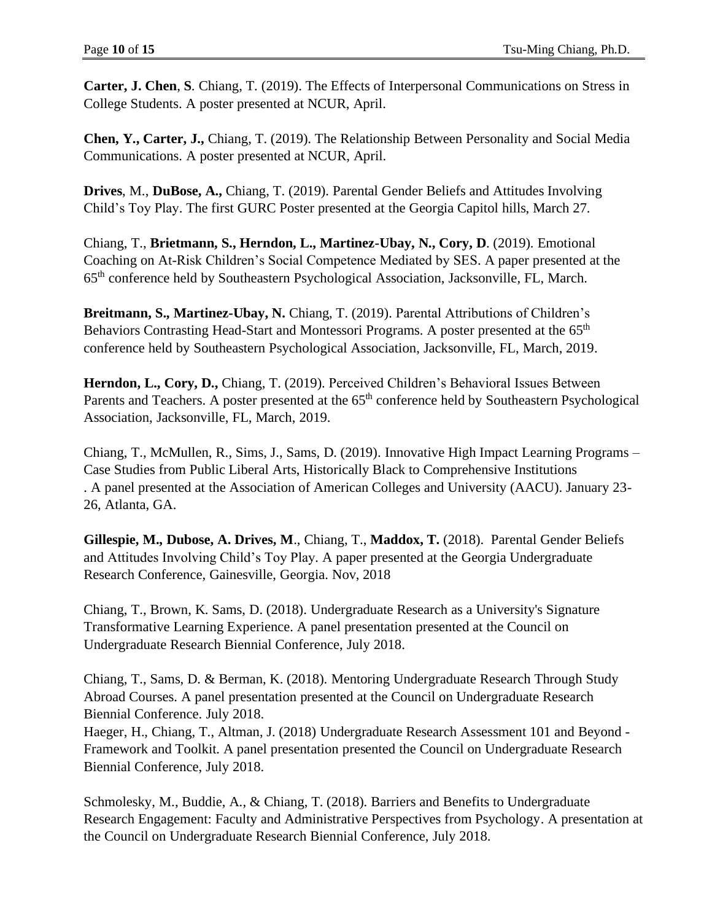**Carter, J. Chen**, **S**. Chiang, T. (2019). The Effects of Interpersonal Communications on Stress in College Students. A poster presented at NCUR, April.

**Chen, Y., Carter, J.,** Chiang, T. (2019). The Relationship Between Personality and Social Media Communications. A poster presented at NCUR, April.

**Drives**, M., **DuBose, A.,** Chiang, T. (2019). Parental Gender Beliefs and Attitudes Involving Child's Toy Play. The first GURC Poster presented at the Georgia Capitol hills, March 27.

Chiang, T., **Brietmann, S., Herndon, L., Martinez-Ubay, N., Cory, D**. (2019). Emotional Coaching on At-Risk Children's Social Competence Mediated by SES. A paper presented at the 65th conference held by Southeastern Psychological Association, Jacksonville, FL, March.

**Breitmann, S., Martinez-Ubay, N.** Chiang, T. (2019). Parental Attributions of Children's Behaviors Contrasting Head-Start and Montessori Programs. A poster presented at the 65<sup>th</sup> conference held by Southeastern Psychological Association, Jacksonville, FL, March, 2019.

**Herndon, L., Cory, D.,** Chiang, T. (2019). Perceived Children's Behavioral Issues Between Parents and Teachers. A poster presented at the  $65<sup>th</sup>$  conference held by Southeastern Psychological Association, Jacksonville, FL, March, 2019.

Chiang, T., McMullen, R., Sims, J., Sams, D. (2019). Innovative High Impact Learning Programs – Case Studies from Public Liberal Arts, Historically Black to Comprehensive Institutions . A panel presented at the Association of American Colleges and University (AACU). January 23- 26, Atlanta, GA.

**Gillespie, M., Dubose, A. Drives, M**., Chiang, T., **Maddox, T.** (2018). Parental Gender Beliefs and Attitudes Involving Child's Toy Play. A paper presented at the Georgia Undergraduate Research Conference, Gainesville, Georgia. Nov, 2018

Chiang, T., Brown, K. Sams, D. (2018). Undergraduate Research as a University's Signature Transformative Learning Experience. A panel presentation presented at the Council on Undergraduate Research Biennial Conference, July 2018.

Chiang, T., Sams, D. & Berman, K. (2018). Mentoring Undergraduate Research Through Study Abroad Courses. A panel presentation presented at the Council on Undergraduate Research Biennial Conference. July 2018.

Haeger, H., Chiang, T., Altman, J. (2018) Undergraduate Research Assessment 101 and Beyond - Framework and Toolkit. A panel presentation presented the Council on Undergraduate Research Biennial Conference, July 2018.

Schmolesky, M., Buddie, A., & Chiang, T. (2018). Barriers and Benefits to Undergraduate Research Engagement: Faculty and Administrative Perspectives from Psychology. A presentation at the Council on Undergraduate Research Biennial Conference, July 2018.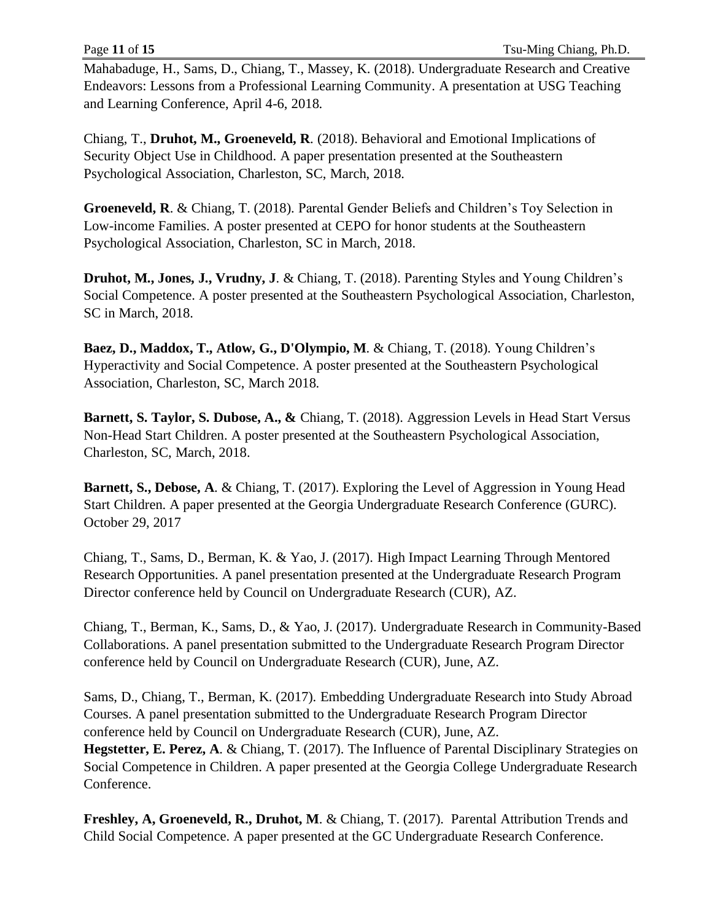Mahabaduge, H., Sams, D., Chiang, T., Massey, K. (2018). Undergraduate Research and Creative Endeavors: Lessons from a Professional Learning Community. A presentation at USG Teaching and Learning Conference, April 4-6, 2018.

Chiang, T., **Druhot, M., Groeneveld, R**. (2018). Behavioral and Emotional Implications of Security Object Use in Childhood. A paper presentation presented at the Southeastern Psychological Association, Charleston, SC, March, 2018.

**Groeneveld, R**. & Chiang, T. (2018). Parental Gender Beliefs and Children's Toy Selection in Low-income Families. A poster presented at CEPO for honor students at the Southeastern Psychological Association, Charleston, SC in March, 2018.

**Druhot, M., Jones, J., Vrudny, J**. & Chiang, T. (2018). Parenting Styles and Young Children's Social Competence. A poster presented at the Southeastern Psychological Association, Charleston, SC in March, 2018.

**Baez, D., Maddox, T., Atlow, G., D'Olympio, M**. & Chiang, T. (2018). Young Children's Hyperactivity and Social Competence. A poster presented at the Southeastern Psychological Association, Charleston, SC, March 2018.

**Barnett, S. Taylor, S. Dubose, A., &** Chiang, T. (2018). Aggression Levels in Head Start Versus Non-Head Start Children. A poster presented at the Southeastern Psychological Association, Charleston, SC, March, 2018.

**Barnett, S., Debose, A**. & Chiang, T. (2017). Exploring the Level of Aggression in Young Head Start Children. A paper presented at the Georgia Undergraduate Research Conference (GURC). October 29, 2017

Chiang, T., Sams, D., Berman, K. & Yao, J. (2017). High Impact Learning Through Mentored Research Opportunities. A panel presentation presented at the Undergraduate Research Program Director conference held by Council on Undergraduate Research (CUR), AZ.

Chiang, T., Berman, K., Sams, D., & Yao, J. (2017). Undergraduate Research in Community-Based Collaborations. A panel presentation submitted to the Undergraduate Research Program Director conference held by Council on Undergraduate Research (CUR), June, AZ.

Sams, D., Chiang, T., Berman, K. (2017). Embedding Undergraduate Research into Study Abroad Courses. A panel presentation submitted to the Undergraduate Research Program Director conference held by Council on Undergraduate Research (CUR), June, AZ. **Hegstetter, E. Perez, A**. & Chiang, T. (2017). The Influence of Parental Disciplinary Strategies on

Social Competence in Children. A paper presented at the Georgia College Undergraduate Research Conference.

**Freshley, A, Groeneveld, R., Druhot, M**. & Chiang, T. (2017). Parental Attribution Trends and Child Social Competence. A paper presented at the GC Undergraduate Research Conference.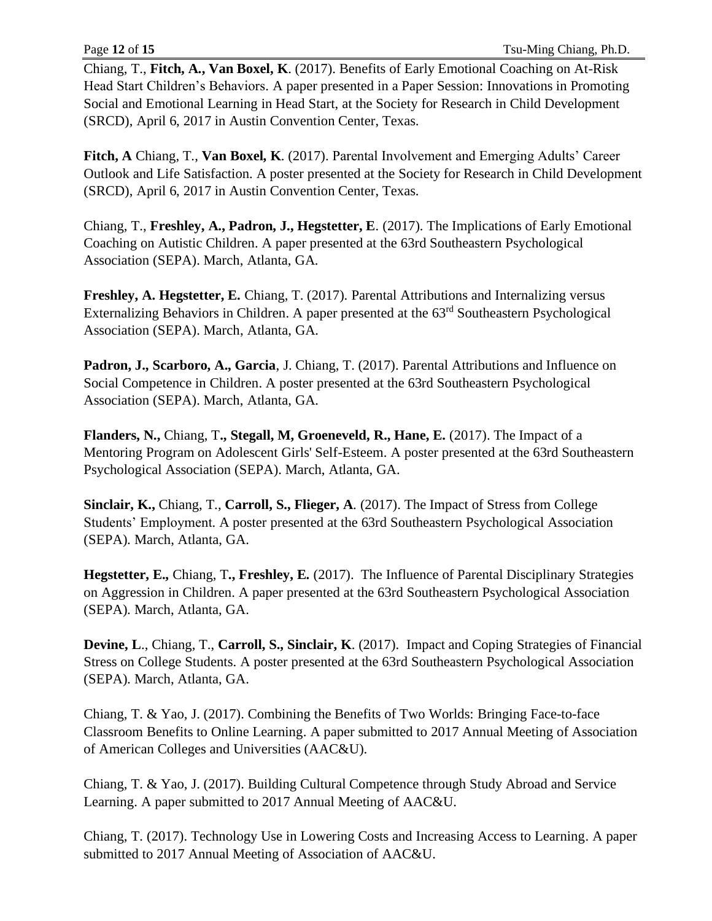Chiang, T., **Fitch, A., Van Boxel, K**. (2017). Benefits of Early Emotional Coaching on At-Risk Head Start Children's Behaviors. A paper presented in a Paper Session: Innovations in Promoting Social and Emotional Learning in Head Start, at the Society for Research in Child Development (SRCD), April 6, 2017 in Austin Convention Center, Texas.

**Fitch, A** Chiang, T., **Van Boxel, K**. (2017). Parental Involvement and Emerging Adults' Career Outlook and Life Satisfaction. A poster presented at the Society for Research in Child Development (SRCD), April 6, 2017 in Austin Convention Center, Texas.

Chiang, T., **Freshley, A., Padron, J., Hegstetter, E**. (2017). The Implications of Early Emotional Coaching on Autistic Children. A paper presented at the 63rd Southeastern Psychological Association (SEPA). March, Atlanta, GA.

**Freshley, A. Hegstetter, E.** Chiang, T. (2017). Parental Attributions and Internalizing versus Externalizing Behaviors in Children. A paper presented at the 63<sup>rd</sup> Southeastern Psychological Association (SEPA). March, Atlanta, GA.

**Padron, J., Scarboro, A., Garcia**, J. Chiang, T. (2017). Parental Attributions and Influence on Social Competence in Children. A poster presented at the 63rd Southeastern Psychological Association (SEPA). March, Atlanta, GA.

**Flanders, N.,** Chiang, T**., Stegall, M, Groeneveld, R., Hane, E.** (2017). The Impact of a Mentoring Program on Adolescent Girls' Self-Esteem. A poster presented at the 63rd Southeastern Psychological Association (SEPA). March, Atlanta, GA.

**Sinclair, K.,** Chiang, T., **Carroll, S., Flieger, A**. (2017). The Impact of Stress from College Students' Employment. A poster presented at the 63rd Southeastern Psychological Association (SEPA). March, Atlanta, GA.

**Hegstetter, E.,** Chiang, T**., Freshley, E.** (2017). The Influence of Parental Disciplinary Strategies on Aggression in Children. A paper presented at the 63rd Southeastern Psychological Association (SEPA). March, Atlanta, GA.

**Devine, L**., Chiang, T., **Carroll, S., Sinclair, K**. (2017). Impact and Coping Strategies of Financial Stress on College Students. A poster presented at the 63rd Southeastern Psychological Association (SEPA). March, Atlanta, GA.

Chiang, T. & Yao, J. (2017). Combining the Benefits of Two Worlds: Bringing Face-to-face Classroom Benefits to Online Learning. A paper submitted to 2017 Annual Meeting of Association of American Colleges and Universities (AAC&U).

Chiang, T. & Yao, J. (2017). Building Cultural Competence through Study Abroad and Service Learning. A paper submitted to 2017 Annual Meeting of AAC&U.

Chiang, T. (2017). Technology Use in Lowering Costs and Increasing Access to Learning. A paper submitted to 2017 Annual Meeting of Association of AAC&U.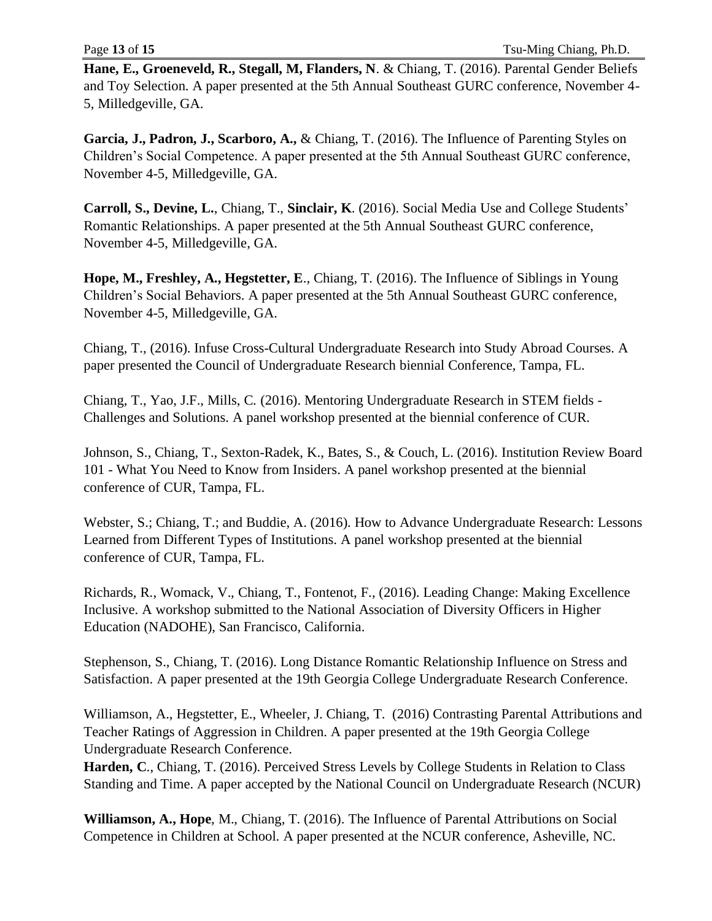**Hane, E., Groeneveld, R., Stegall, M, Flanders, N**. & Chiang, T. (2016). Parental Gender Beliefs and Toy Selection. A paper presented at the 5th Annual Southeast GURC conference, November 4- 5, Milledgeville, GA.

**Garcia, J., Padron, J., Scarboro, A.,** & Chiang, T. (2016). The Influence of Parenting Styles on Children's Social Competence. A paper presented at the 5th Annual Southeast GURC conference, November 4-5, Milledgeville, GA.

**Carroll, S., Devine, L.**, Chiang, T., **Sinclair, K**. (2016). Social Media Use and College Students' Romantic Relationships. A paper presented at the 5th Annual Southeast GURC conference, November 4-5, Milledgeville, GA.

**Hope, M., Freshley, A., Hegstetter, E**., Chiang, T. (2016). The Influence of Siblings in Young Children's Social Behaviors. A paper presented at the 5th Annual Southeast GURC conference, November 4-5, Milledgeville, GA.

Chiang, T., (2016). Infuse Cross-Cultural Undergraduate Research into Study Abroad Courses. A paper presented the Council of Undergraduate Research biennial Conference, Tampa, FL.

Chiang, T., Yao, J.F., Mills, C. (2016). Mentoring Undergraduate Research in STEM fields - Challenges and Solutions. A panel workshop presented at the biennial conference of CUR.

Johnson, S., Chiang, T., Sexton-Radek, K., Bates, S., & Couch, L. (2016). Institution Review Board 101 - What You Need to Know from Insiders. A panel workshop presented at the biennial conference of CUR, Tampa, FL.

Webster, S.; Chiang, T.; and Buddie, A. (2016). How to Advance Undergraduate Research: Lessons Learned from Different Types of Institutions. A panel workshop presented at the biennial conference of CUR, Tampa, FL.

Richards, R., Womack, V., Chiang, T., Fontenot, F., (2016). Leading Change: Making Excellence Inclusive. A workshop submitted to the National Association of Diversity Officers in Higher Education (NADOHE), San Francisco, California.

Stephenson, S., Chiang, T. (2016). Long Distance Romantic Relationship Influence on Stress and Satisfaction. A paper presented at the 19th Georgia College Undergraduate Research Conference.

Williamson, A., Hegstetter, E., Wheeler, J. Chiang, T. (2016) Contrasting Parental Attributions and Teacher Ratings of Aggression in Children. A paper presented at the 19th Georgia College Undergraduate Research Conference.

**Harden, C**., Chiang, T. (2016). Perceived Stress Levels by College Students in Relation to Class Standing and Time. A paper accepted by the National Council on Undergraduate Research (NCUR)

**Williamson, A., Hope**, M., Chiang, T. (2016). The Influence of Parental Attributions on Social Competence in Children at School. A paper presented at the NCUR conference, Asheville, NC.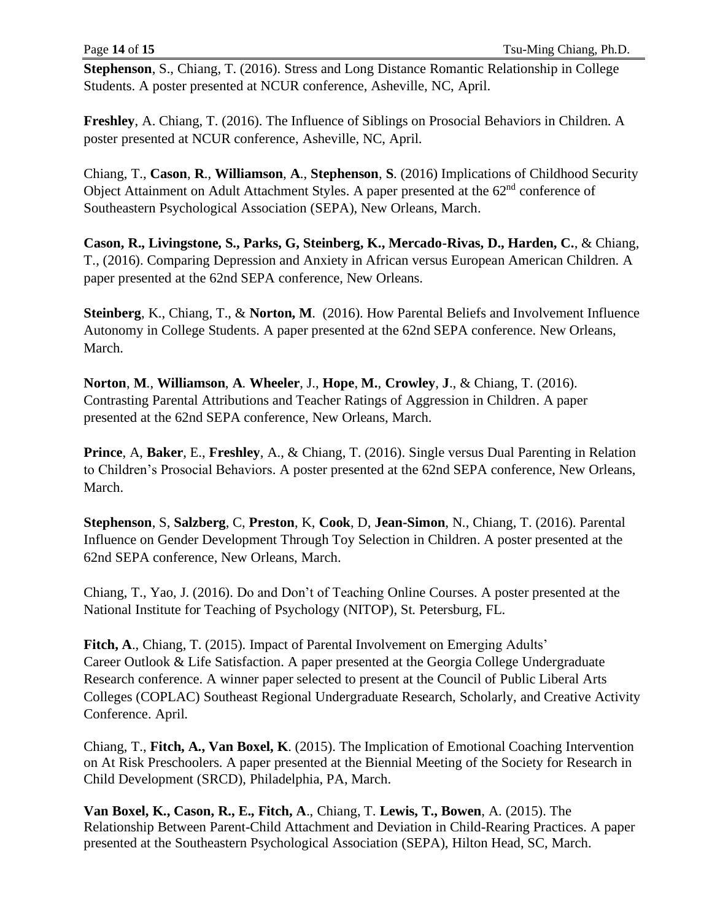**Stephenson**, S., Chiang, T. (2016). Stress and Long Distance Romantic Relationship in College Students. A poster presented at NCUR conference, Asheville, NC, April.

**Freshley**, A. Chiang, T. (2016). The Influence of Siblings on Prosocial Behaviors in Children. A poster presented at NCUR conference, Asheville, NC, April.

Chiang, T., **Cason**, **R**., **Williamson**, **A**., **Stephenson**, **S**. (2016) Implications of Childhood Security Object Attainment on Adult Attachment Styles. A paper presented at the 62<sup>nd</sup> conference of Southeastern Psychological Association (SEPA), New Orleans, March.

**Cason, R., Livingstone, S., Parks, G, Steinberg, K., Mercado-Rivas, D., Harden, C.**, & Chiang, T., (2016). Comparing Depression and Anxiety in African versus European American Children. A paper presented at the 62nd SEPA conference, New Orleans.

**Steinberg**, K., Chiang, T., & **Norton, M**. (2016). How Parental Beliefs and Involvement Influence Autonomy in College Students. A paper presented at the 62nd SEPA conference. New Orleans, March.

**Norton**, **M**., **Williamson**, **A**. **Wheeler**, J., **Hope**, **M.**, **Crowley**, **J**., & Chiang, T. (2016). Contrasting Parental Attributions and Teacher Ratings of Aggression in Children. A paper presented at the 62nd SEPA conference, New Orleans, March.

**Prince**, A, **Baker**, E., **Freshley**, A., & Chiang, T. (2016). Single versus Dual Parenting in Relation to Children's Prosocial Behaviors. A poster presented at the 62nd SEPA conference, New Orleans, March.

**Stephenson**, S, **Salzberg**, C, **Preston**, K, **Cook**, D, **Jean-Simon**, N., Chiang, T. (2016). Parental Influence on Gender Development Through Toy Selection in Children. A poster presented at the 62nd SEPA conference, New Orleans, March.

Chiang, T., Yao, J. (2016). Do and Don't of Teaching Online Courses. A poster presented at the National Institute for Teaching of Psychology (NITOP), St. Petersburg, FL.

**Fitch, A**., Chiang, T. (2015). Impact of Parental Involvement on Emerging Adults' Career Outlook & Life Satisfaction. A paper presented at the Georgia College Undergraduate Research conference. A winner paper selected to present at the Council of Public Liberal Arts Colleges (COPLAC) Southeast Regional Undergraduate Research, Scholarly, and Creative Activity Conference. April.

Chiang, T., **Fitch, A., Van Boxel, K**. (2015). The Implication of Emotional Coaching Intervention on At Risk Preschoolers. A paper presented at the Biennial Meeting of the Society for Research in Child Development (SRCD), Philadelphia, PA, March.

**Van Boxel, K., Cason, R., E., Fitch, A**., Chiang, T. **Lewis, T., Bowen**, A. (2015). The Relationship Between Parent-Child Attachment and Deviation in Child-Rearing Practices. A paper presented at the Southeastern Psychological Association (SEPA), Hilton Head, SC, March.